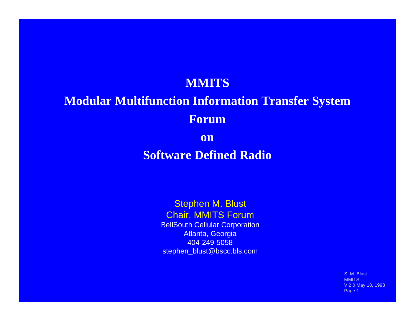#### **MMITS**

### **Modular Multifunction Information Transfer System Forum**

**on**

### **Software Defined Radio**

Stephen M. Blust Chair, MMITS Forum BellSouth Cellular Corporation Atlanta, Georgia 404-249-5058 stephen\_blust@bscc.bls.com

> S. M. Blust **MMITS** V 2.0 May 18, 1998 Page 1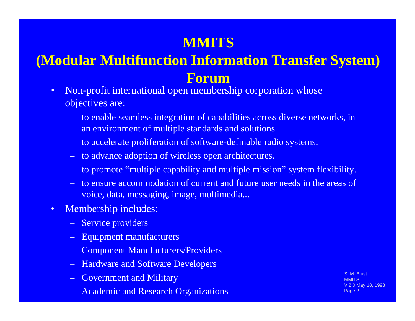## **MMITS**

## **(Modular Multifunction Information Transfer System) Forum**

- Non-profit international open membership corporation whose objectives are:
	- to enable seamless integration of capabilities across diverse networks, in an environment of multiple standards and solutions.
	- to accelerate proliferation of software-definable radio systems.
	- to advance adoption of wireless open architectures.
	- to promote "multiple capability and multiple mission" system flexibility.
	- to ensure accommodation of current and future user needs in the areas of voice, data, messaging, image, multimedia...
- Membership includes:
	- Service providers
	- Equipment manufacturers
	- Component Manufacturers/Providers
	- Hardware and Software Developers
	- Government and Military
	- Academic and Research Organizations

M. Blust **MMITS** V 2.0 May 18, 1998 Page 2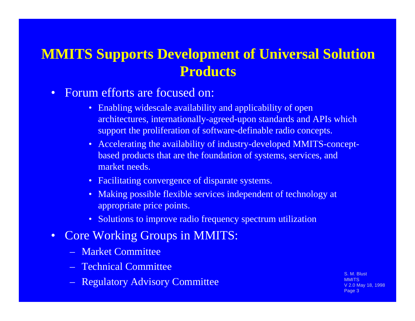### **MMITS Supports Development of Universal Solution Products**

- Forum efforts are focused on:
	- Enabling widescale availability and applicability of open architectures, internationally-agreed-upon standards and APIs which support the proliferation of software-definable radio concepts.
	- Accelerating the availability of industry-developed MMITS-conceptbased products that are the foundation of systems, services, and market needs.
	- Facilitating convergence of disparate systems.
	- Making possible flexible services independent of technology at appropriate price points.
	- Solutions to improve radio frequency spectrum utilization
- Core Working Groups in MMITS:
	- Market Committee
	- Technical Committee
	- Regulatory Advisory Committee

S. M. Blust **MMITS** V 2.0 May 18, 1998 Page 3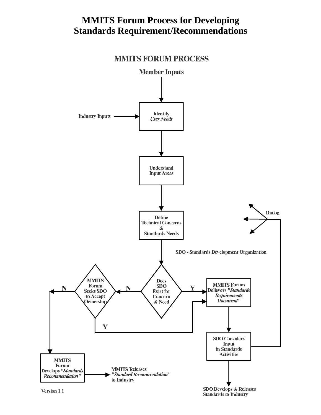#### **MMITS Forum Process for Developing Standards Requirement/Recommendations**



**MMITS FORUM PROCESS** 

Version 1.1

**Standards to Industry**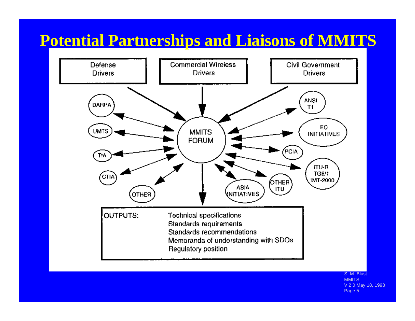## **Potential Partnerships and Liaisons of MMITS**



S. M. Blust **MMITS** V 2.0 May 18, 1998 Page 5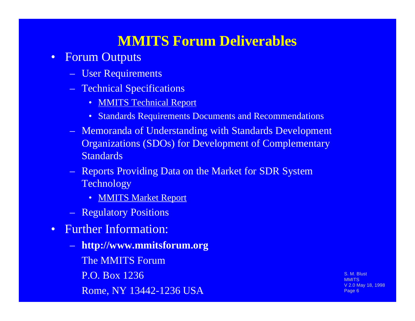### **MMITS Forum Deliverables**

- Forum Outputs
	- User Requirements
	- Technical Specifications
		- MMITS Technical Report
		- Standards Requirements Documents and Recommendations
	- Memoranda of Understanding with Standards Development Organizations (SDOs) for Development of Complementary **Standards**
	- Reports Providing Data on the Market for SDR System Technology
		- MMITS Market Report
	- Regulatory Positions
- Further Information:
	- **http://www.mmitsforum.org** The MMITS Forum P.O. Box 1236 Rome, NY 13442-1236 USA

S. M. Blust MMITS V 2.0 May 18, 1998 Page 6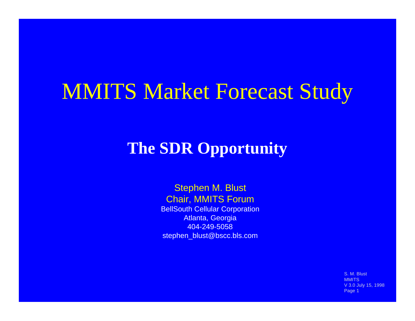# MMITS Market Forecast Study

## **The SDR Opportunity**

#### Stephen M. Blust Chair, MMITS Forum

BellSouth Cellular Corporation Atlanta, Georgia 404-249-5058 stephen\_blust@bscc.bls.com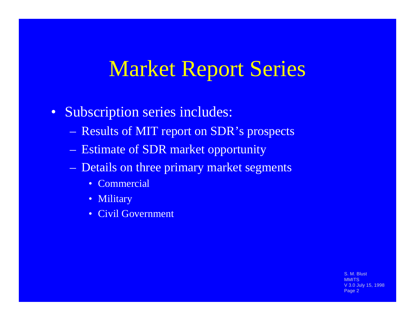# Market Report Series

- Subscription series includes:
	- Results of MIT report on SDR's prospects
	- Estimate of SDR market opportunity
	- Details on three primary market segments
		- Commercial
		- Military
		- Civil Government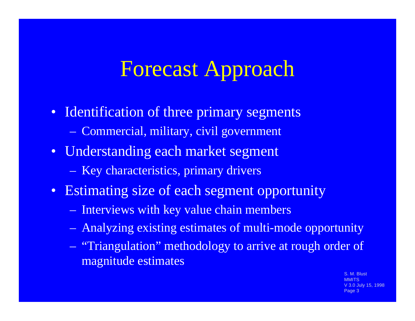# Forecast Approach

- Identification of three primary segments – Commercial, military, civil government
- Understanding each market segment
	- Key characteristics, primary drivers
- Estimating size of each segment opportunity
	- Interviews with key value chain members
	- Analyzing existing estimates of multi-mode opportunity
	- "Triangulation" methodology to arrive at rough order of magnitude estimates

M. Blust **MMITS July 15, 1998** Page 3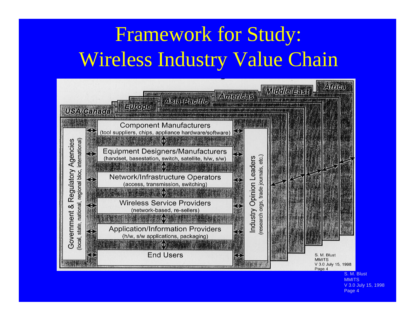# Framework for Study: Wireless Industry Value Chain



**MMITS** V 3.0 July 15, 1998 Page 4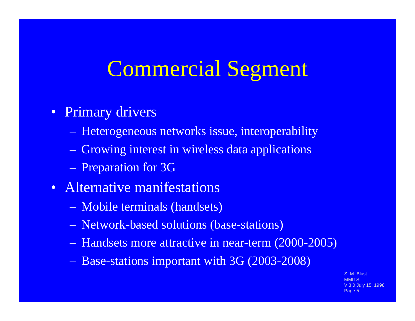# Commercial Segment

### • Primary drivers

- Heterogeneous networks issue, interoperability
- Growing interest in wireless data applications
- Preparation for 3G
- Alternative manifestations
	- Mobile terminals (handsets)
	- Network-based solutions (base-stations)
	- Handsets more attractive in near-term (2000-2005)
	- Base-stations important with 3G (2003-2008)

M. Blust **MMITS** ) July 15, 1998 Page 5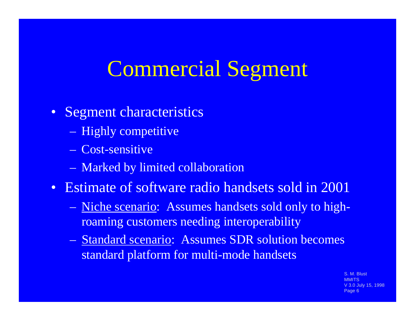# Commercial Segment

### • Segment characteristics

- Highly competitive
- Cost-sensitive
- Marked by limited collaboration
- Estimate of software radio handsets sold in 2001
	- Niche scenario: Assumes handsets sold only to highroaming customers needing interoperability
	- Standard scenario: Assumes SDR solution becomes standard platform for multi-mode handsets

M. Blust **MMITS** Uuly 15, 1998 Page 6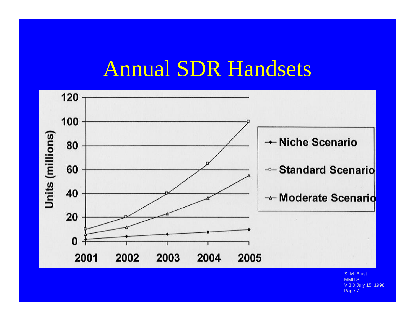# Annual SDR Handsets

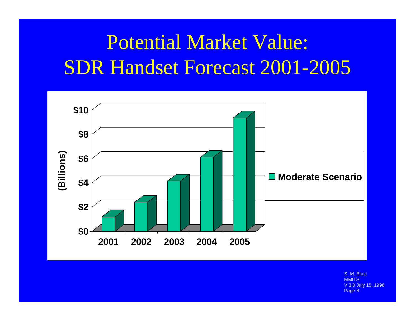# Potential Market Value: SDR Handset Forecast 2001-2005

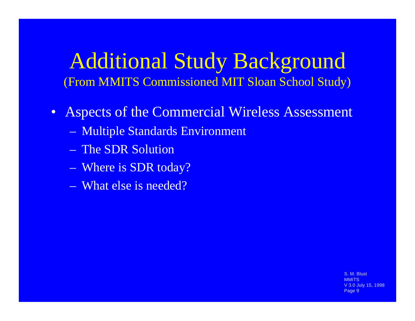## Additional Study Background (From MMITS Commissioned MIT Sloan School Study)

- Aspects of the Commercial Wireless Assessment
	- Multiple Standards Environment
	- The SDR Solution
	- Where is SDR today?
	- What else is needed?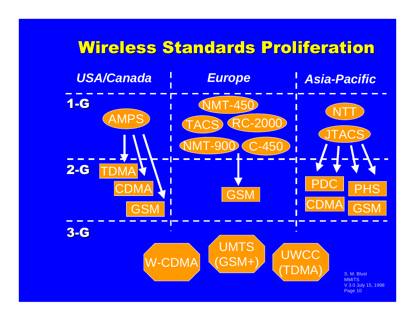#### S. M. Blust **MMITS** V 3.0 July 15, 1998 Page 10 Wireless Standards Proliferation AMPS **NMT-450** NMT-900 C-450 RC-2000 **TACS JTACS** NTT **UMTS** W-CDMA (GSM+) WWCC (TDMA) *USA/Canada Europe Asia-Pacific* 1-G 2-G 3-G GSM CDM PHS **GSM** DM **GSM CDMA**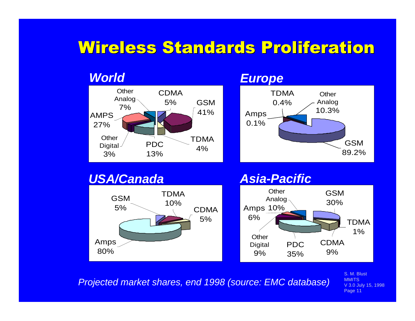## Wireless Standards Proliferation



#### *Europe*



#### *USA/Canada*



#### *Asia-Pacific*



*Projected market shares, end 1998 (source: EMC database)*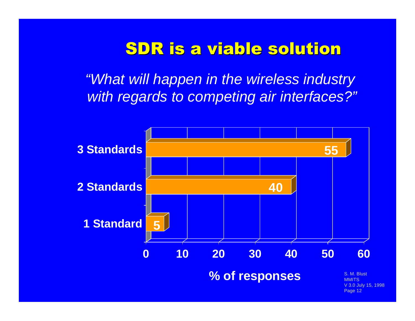## SDR is a viable solution

*"What will happen in the wireless industry with regards to competing air interfaces?"*

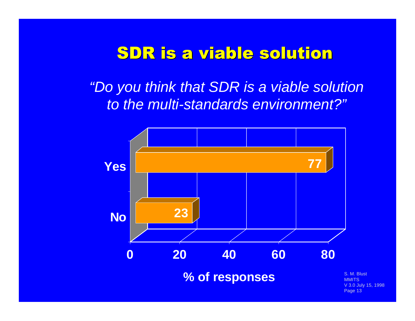## SDR is a viable solution

*"Do you think that SDR is a viable solution to the multi-standards environment?"*

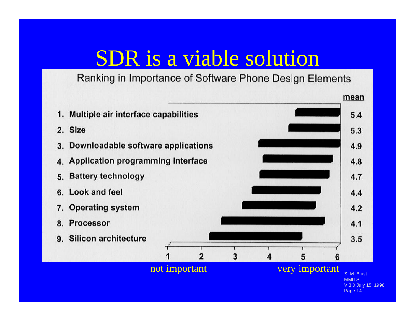## SDR is a viable solution

Ranking in Importance of Software Phone Design Elements

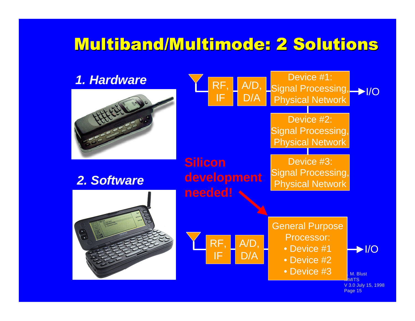## Multiband/Multimode: 2 Solutions

#### *1. Hardware*



*2. Software*



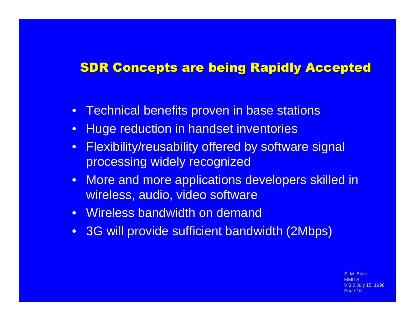### SDR Concepts are being Rapidly Accepted

- Technical benefits proven in base stations
- Huge reduction in handset inventories
- Flexibility/reusability offered by software signal processing widely recognized
- More and more applications developers skilled in wireless, audio, video software
- Wireless bandwidth on demand
- 3G will provide sufficient bandwidth (2Mbps)

M. Blust **MMITS July 15, 1998** Page 16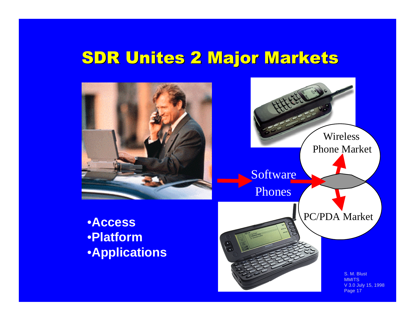## SDR Unites 2 Major Markets

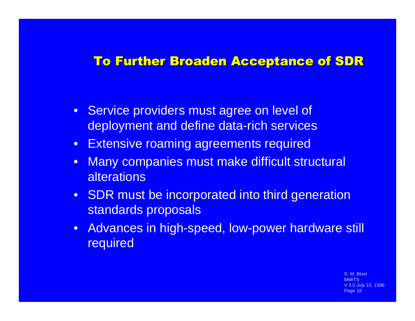#### To Further Broaden Acceptance of SDR

- Service providers must agree on level of deployment and define data-rich services
- Extensive roaming agreements required
- Many companies must make difficult structural **alterations**
- SDR must be incorporated into third generation standards proposals
- Advances in high-speed, low-power hardware still required

S. M. Blust **MMITS** Uuly 15, 1998 Page 18